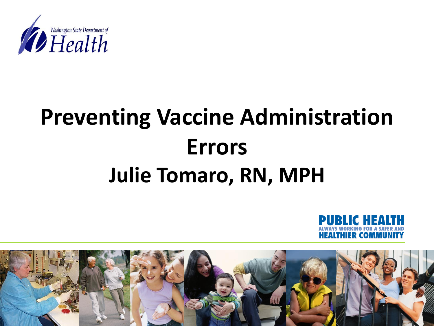

## **Preventing Vaccine Administration Errors Julie Tomaro, RN, MPH**



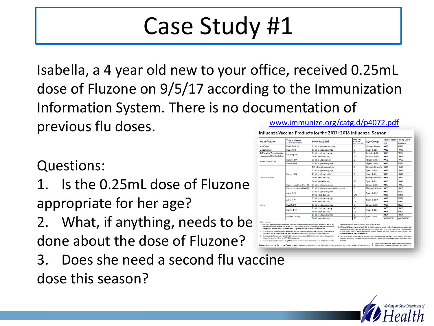### Case Study #1

Isabella, a 4 year old new to your office, received 0.25mL dose of Fluzone on 9/5/17 according to the Immunization Information System. There is no documentation of [www.immunize.org/catg.d/p4072.pdf](http://www.immunize.org/catg.d/p4072.pdf)previous flu doses. Influenza Vaccine Products for the 2017-2018 Influenza Season

#### Questions:

- 1. Is the 0.25mL dose of Fluzone appropriate for her age?
- 2. What, if anything, needs to be done about the dose of Fluzone?
- 3. Does she need a second flu vaccine dose this season?

| Manufacturer                                                      | <b>Trade Name</b>                   |                                            | <b>Mercury</b><br>Content |                              | Vaccine Product Billing Code <sup>2</sup> |              |
|-------------------------------------------------------------------|-------------------------------------|--------------------------------------------|---------------------------|------------------------------|-------------------------------------------|--------------|
|                                                                   | (vaccine abbreviation) <sup>1</sup> | <b>How Supplied</b>                        | (mcg Hg/0.5mL)            | <b>Age Group</b>             | CPT                                       | Medicare     |
| <b>AstraZeneca</b>                                                | FluMist <sup>3</sup> (LAIV4)        | 0.2 mL (single-use nasal spray)            | $\Omega$                  | 2 through 49 years           | 90672                                     | 90672        |
| <b>GlaxoSmithKline</b>                                            | Fluarix (IIV4)                      | 0.5 mL (single-dose syringe)               | $\bf{0}$                  | 3 years & older              | 90686                                     | 90686        |
| ID Biomedical Corp. of Ouebec.<br>a subsidiary of GlaxoSmithKline | FluLaval (IIV4)                     | 0.5 mL (single-dose syringe)               | $\mathbf{0}$              | 6 months & older             | 90686                                     | 90686        |
|                                                                   |                                     | 5.0 mL (multi-dose vial)                   | $-25$                     | 6 months & older             | 90688                                     | 90688        |
| Protein Sciences Corp.                                            | Flublok (RIV3)                      | 0.5 mL (single-dose vial)                  | $\bf{0}$                  | 18 years & older             | 90673                                     | 90673        |
|                                                                   | Flublok (RIV4)                      | 0.5 mL (single-dose syringe)               | $\mathbf{0}$              | 18 years & older             | 90682                                     | 90682        |
| Sanofi Pasteur, Inc.                                              | Fluzone (IIV4)                      | 0.25 mL (single-dose syringe)              | $\bf{0}$                  | 6 through 35 months          | 90685                                     | 90685        |
|                                                                   |                                     | 0.5 mL (single-dose syringe)               | $\mathbf{0}$              | 3 years & older              | 90686                                     | 90686        |
|                                                                   |                                     | 0.5 mL (single-dose vial)                  | $\bf{0}$                  | 3 years & older              | 90686                                     | 90686        |
|                                                                   |                                     | 5.0 mL (multi-dose vial)                   | 25                        | 6 through 35 months          | 90687                                     | 90687        |
|                                                                   |                                     | 5.0 mL (multi-dose vial)                   | 25                        | 3 years & older              | 90688                                     | 90688        |
|                                                                   | Fluzone High-Dose (IIV3-HD)         | 0.5 mL (single-dose syringe)               | $\mathbf{0}$              | 65 years & older             | 90662                                     | 90662        |
|                                                                   | Fluzone Intradermal (IIV4-ID)       | 0.1 mL (single-dose microiniection system) | $\mathbf{0}$              | 18 through 64 years          | 90630                                     | 90630        |
| Segirus                                                           | Afluria (IIV3)                      | 0.5 mL (single-dose syringe)               | $\mathbf{0}$              | 5 years & older <sup>4</sup> | 90656                                     | 90656        |
|                                                                   |                                     | 5.0 ml. (multi-dose vial)                  | 24.5                      |                              | 90658                                     | <b>Q2035</b> |
|                                                                   | Afluria (IIV4)                      | 0.5 mL (single-dose syringe)               | $\Omega$                  | 5 years & older <sup>4</sup> | 90686                                     | 90686        |
|                                                                   |                                     | 5.0 mL (multi-dose vial)                   | 24.5                      |                              | 90688                                     | 90688        |
|                                                                   | Fluad (allV3)                       | 0.5 mL (single-dose syringe)               | 0                         | 65 years & older             | 90653                                     | 90653        |
|                                                                   | Fluvirin (IIV3)                     | 0.5 mL (single-dose syringe)               | ₫                         | 4 years & older              | 90656                                     | 92200        |
|                                                                   |                                     | 5.0 mL (multi-dose vial)                   | 25                        |                              | 90658                                     | Q2037        |
|                                                                   | Flucelyax (cclIV4)                  | 0.5 mL (single-dose syringe)               | $\bf{0}$                  | 4 years & older              | 90674                                     | 90674        |
|                                                                   |                                     | 5.0 mL (multi-dose vial)                   | 25                        |                              | 90749/907565                              | O2039/90756* |

culture-based vaccine, the prefix "cc" is used (e.g., cclIV3/

**ACTION CONTINUES STARTED MAN** 

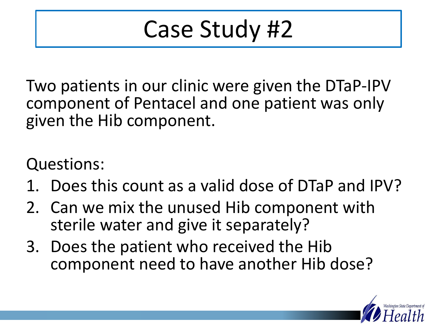## Case Study #2

Two patients in our clinic were given the DTaP-IPV component of Pentacel and one patient was only given the Hib component.

Questions:

- 1. Does this count as a valid dose of DTaP and IPV?
- 2. Can we mix the unused Hib component with sterile water and give it separately?
- 3. Does the patient who received the Hib component need to have another Hib dose?

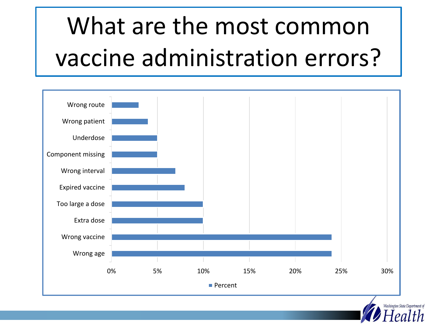# What are the most common vaccine administration errors?



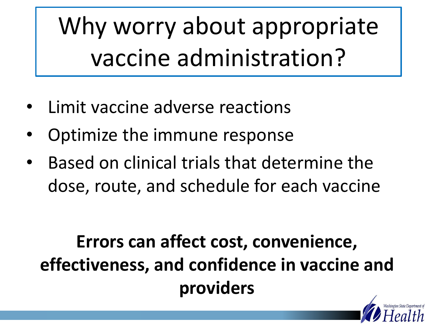Why worry about appropriate vaccine administration?

- Limit vaccine adverse reactions
- Optimize the immune response
- Based on clinical trials that determine the dose, route, and schedule for each vaccine

#### **Errors can affect cost, convenience, effectiveness, and confidence in vaccine and providers**

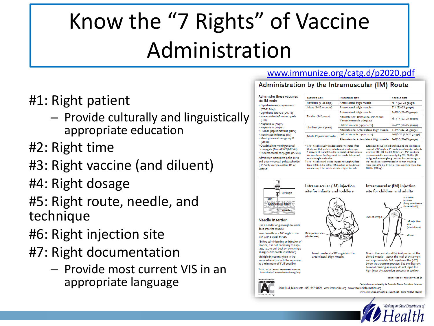## Know the "7 Rights" of Vaccine Administration

- #1: Right patient
	- Provide culturally and linguistically appropriate education
- #2: Right time
- #3: Right vaccine (and diluent)
- #4: Right dosage
- #5: Right route, needle, and technique
- #6: Right injection site
- #7: Right documentation
	- Provide most current VIS in an appropriate language

#### [www.immunize.org/catg.d/p2020.pdf](http://www.immunize.org/catg.d/p2020.pdf)

#### Administration by the Intramuscular (IM) Route

Administer these vaccines via IM route · Diphtheria-tetanus-pertussis (DTaP, Tdap) · Diphtheria-tetanus (DT, Td) · Haemophilus influenzae type b  $(Hib)$ · Hepatitis A (HepA) · Hepatitis B (HepB) · Human papillomavirus (HPV) · Inactivated influenza (IIV) · Meningococcal serogroup B (MenB) · Quadrivalent meningococcal conjugate (MenACWY [MCV4]) · Pneumococcal conjugate (PCV13) Administer inactivated polio (IPV) and pneumococcal polysaccharide (PPSV23) vaccines either IM or Subcut

| <b>PATIENT AGE</b>        | <b>INJECTION SITE</b>                                               | <b>NEEDLE SIZE</b>                  |  |  |
|---------------------------|---------------------------------------------------------------------|-------------------------------------|--|--|
| Newborn (0-28 days)       | Anterolateral thigh muscle                                          | 5/8"* (22-25 gauge)                 |  |  |
| Infant (1-12 months)      | Anterolateral thigh muscle                                          | 1"* (22-25 gauge)                   |  |  |
|                           | Anterolateral thigh muscle                                          | 1-11/4" (22-25 gauge)               |  |  |
| Toddler (1-2 years)       | Alternate site: Deltoid muscle of arm<br>if muscle mass is adequate | 5/8-1"* (22-25 gauge)               |  |  |
| Children (3-18 years)     | Deltoid muscle (upper arm)                                          | 5/s-1"* (22-25 gauge)               |  |  |
|                           | Alternate site: Anterolateral thigh muscle                          | 1-11/4" (22-25 gauge)               |  |  |
| Adults 19 years and older | Deltoid muscle (upper arm)                                          | 1-11/2"* <sup>†</sup> (22-25 gauge) |  |  |
|                           | Alternate site: Anterolateral thigh muscle                          | $1-1\frac{1}{2}$ " (22-25 gauge)    |  |  |

A 56" needle usually is adequate for neonates (first 28 days of life), preterm infants, and children ages 1 through 18 years if the skin is stretched flat between the thumb and forefinger and the needle is inserted at a 90° angle to the skin. TA %" needle may be used in patients weighing less than 130 lbs (<60 kg) for IM injection in the deltoid muscle only if the skin is stretched tight, the sub-

cutaneous tissue is not bunched, and the injection is made at a 90° angle; a 1" needle is sufficient in patients weighing 130-152 lbs (60-70 kg); a 1-11/2" needle is recommended in women weighing 153-200 lbs (70-90 kg) and men weighing 153-260 lbs (70-118 kg); a 11/2" needle is recommended in women weighing more than 200 lbs (91 kg) or men weighing more than 260 lbs (118 kg).



inize.org/catg.d/p2020.pdf - Item #P2020 (12/15)

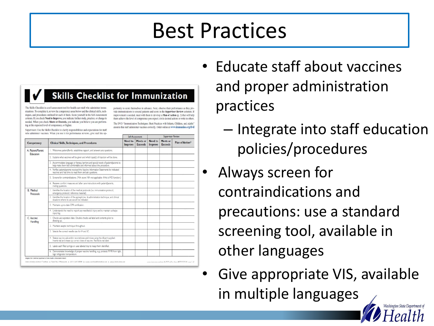#### Best Practices

| The Skills Checklist is a self-assessment tool for health care staff who administer immu-<br>nizations. To complete it, review the competency areas below and the clinical skills, tech-<br>niques, and procedures outlined for each of them. Score yourself in the Self-Assessment<br>column. If you check Need to Improve, you indicate further study, practice, or change is<br>needed. When you check Meets or Exceeds, you indicate you believe you are perform-<br>ing at the expected level of competence, or higher.<br>Supervisors: Use the Skills Checklist to clarify responsibilities and expectations for staff<br>who administer vaccines. When you use it for performance reviews, give staff the op- |                                                                                                                                                              |  | portunity to score themselves in advance. Next, observe their performance as they pro-<br>vide immunizations to several patients and score in the Supervisor Review columns. If<br>improvement is needed, meet with them to develop a Plan of Action (p. 2) that will help<br>them achieve the level of competence you expect; circle desired actions or write in others.<br>The DVD "Immunization Techniques: Best Practices with Infants, Children, and Adults"<br>ensures that staff administer vaccines correctly. Order online at www.immunize.org/dvd |         |                                                             |  |  |
|----------------------------------------------------------------------------------------------------------------------------------------------------------------------------------------------------------------------------------------------------------------------------------------------------------------------------------------------------------------------------------------------------------------------------------------------------------------------------------------------------------------------------------------------------------------------------------------------------------------------------------------------------------------------------------------------------------------------|--------------------------------------------------------------------------------------------------------------------------------------------------------------|--|-------------------------------------------------------------------------------------------------------------------------------------------------------------------------------------------------------------------------------------------------------------------------------------------------------------------------------------------------------------------------------------------------------------------------------------------------------------------------------------------------------------------------------------------------------------|---------|-------------------------------------------------------------|--|--|
|                                                                                                                                                                                                                                                                                                                                                                                                                                                                                                                                                                                                                                                                                                                      | <b>Clinical Skills, Techniques, and Procedures</b>                                                                                                           |  | Self-Assessment<br>Need to<br>Meets or                                                                                                                                                                                                                                                                                                                                                                                                                                                                                                                      |         | Supervisor Review<br>Need to<br>Meets or<br>Plan of Action* |  |  |
| Competency                                                                                                                                                                                                                                                                                                                                                                                                                                                                                                                                                                                                                                                                                                           |                                                                                                                                                              |  | <b>Exceeds</b>                                                                                                                                                                                                                                                                                                                                                                                                                                                                                                                                              | Improve | <b>Exceeds</b>                                              |  |  |
| A. Patient/Parent<br>Education                                                                                                                                                                                                                                                                                                                                                                                                                                                                                                                                                                                                                                                                                       | 1. Welcomes patient/family, establishes rapport, and answers any questions.                                                                                  |  |                                                                                                                                                                                                                                                                                                                                                                                                                                                                                                                                                             |         |                                                             |  |  |
|                                                                                                                                                                                                                                                                                                                                                                                                                                                                                                                                                                                                                                                                                                                      | 2. Explains what vaccines will be given and which type(s) of injection will be done.                                                                         |  |                                                                                                                                                                                                                                                                                                                                                                                                                                                                                                                                                             |         |                                                             |  |  |
|                                                                                                                                                                                                                                                                                                                                                                                                                                                                                                                                                                                                                                                                                                                      | 3. Accommodates language or literacy barriers and special needs of patient/parents to<br>help make them feel comfortable and informed about the procedure.   |  |                                                                                                                                                                                                                                                                                                                                                                                                                                                                                                                                                             |         |                                                             |  |  |
|                                                                                                                                                                                                                                                                                                                                                                                                                                                                                                                                                                                                                                                                                                                      | 4. Verifies patient/parents received the Vaccine Information Statements for indicated<br>vaccines and had time to read them and ask questions.               |  |                                                                                                                                                                                                                                                                                                                                                                                                                                                                                                                                                             |         |                                                             |  |  |
|                                                                                                                                                                                                                                                                                                                                                                                                                                                                                                                                                                                                                                                                                                                      | 5. Screens for contraindications. (MA: score NA-not applicable-if this is MD function.)                                                                      |  |                                                                                                                                                                                                                                                                                                                                                                                                                                                                                                                                                             |         |                                                             |  |  |
|                                                                                                                                                                                                                                                                                                                                                                                                                                                                                                                                                                                                                                                                                                                      | 6. Reviews comfort measures and after care instructions with patient/parents,<br>myting questions.                                                           |  |                                                                                                                                                                                                                                                                                                                                                                                                                                                                                                                                                             |         |                                                             |  |  |
| <b>B.</b> Medical<br>Protocols                                                                                                                                                                                                                                                                                                                                                                                                                                                                                                                                                                                                                                                                                       | 1. Identifies the location of the medical protocols (i.e. immunization protocol,<br>emergency protocol, reference material).                                 |  |                                                                                                                                                                                                                                                                                                                                                                                                                                                                                                                                                             |         |                                                             |  |  |
|                                                                                                                                                                                                                                                                                                                                                                                                                                                                                                                                                                                                                                                                                                                      | 2. Identifies the location of the epinephrine, its administration technique, and clinical<br>stuations where its use would be indicated.                     |  |                                                                                                                                                                                                                                                                                                                                                                                                                                                                                                                                                             |         |                                                             |  |  |
|                                                                                                                                                                                                                                                                                                                                                                                                                                                                                                                                                                                                                                                                                                                      | 3. Maintains up-to-date CPR certification.                                                                                                                   |  |                                                                                                                                                                                                                                                                                                                                                                                                                                                                                                                                                             |         |                                                             |  |  |
|                                                                                                                                                                                                                                                                                                                                                                                                                                                                                                                                                                                                                                                                                                                      | 4. Understands the need to report any needlestick injury and to maintain a sharps<br>njury log.                                                              |  |                                                                                                                                                                                                                                                                                                                                                                                                                                                                                                                                                             |         |                                                             |  |  |
| C. Vaccine<br>Handling                                                                                                                                                                                                                                                                                                                                                                                                                                                                                                                                                                                                                                                                                               | 1. Checks vial expiration date. Double-checks vial label and contents prior to<br>drawing up.                                                                |  |                                                                                                                                                                                                                                                                                                                                                                                                                                                                                                                                                             |         |                                                             |  |  |
|                                                                                                                                                                                                                                                                                                                                                                                                                                                                                                                                                                                                                                                                                                                      | 2. Maintains aseptic technique throughout.                                                                                                                   |  |                                                                                                                                                                                                                                                                                                                                                                                                                                                                                                                                                             |         |                                                             |  |  |
|                                                                                                                                                                                                                                                                                                                                                                                                                                                                                                                                                                                                                                                                                                                      | 3. Selects the correct needle size for IM and SC.                                                                                                            |  |                                                                                                                                                                                                                                                                                                                                                                                                                                                                                                                                                             |         |                                                             |  |  |
|                                                                                                                                                                                                                                                                                                                                                                                                                                                                                                                                                                                                                                                                                                                      | 4. Shakes vaccine vial and/or reconstitutes and mixes using the diluent supplied.<br>Inverts vial and draws up correct dose of vaccine. Rechecks vial label. |  |                                                                                                                                                                                                                                                                                                                                                                                                                                                                                                                                                             |         |                                                             |  |  |
|                                                                                                                                                                                                                                                                                                                                                                                                                                                                                                                                                                                                                                                                                                                      | 5. Labels each filled syringe or uses labeled tray to keep them identified.                                                                                  |  |                                                                                                                                                                                                                                                                                                                                                                                                                                                                                                                                                             |         |                                                             |  |  |
|                                                                                                                                                                                                                                                                                                                                                                                                                                                                                                                                                                                                                                                                                                                      | 6. Demonstrates knowledge of proper vaccine handling, e.g. protects MMR from light,<br>logs refrigerator temperature.                                        |  |                                                                                                                                                                                                                                                                                                                                                                                                                                                                                                                                                             |         |                                                             |  |  |

- Educate staff about vaccines and proper administration practices
	- Integrate into staff education policies/procedures
- Always screen for contraindications and precautions: use a standard screening tool, available in other languages
- Give appropriate VIS, available in multiple languages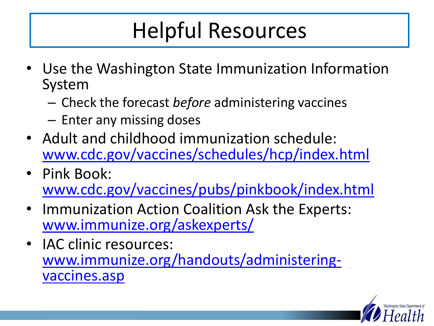### Helpful Resources

- Use the Washington State Immunization Information System
	- Check the forecast *before* administering vaccines
	- Enter any missing doses
- Adult and childhood immunization schedule: [www.cdc.gov/vaccines/schedules/hcp/index.html](http://www.cdc.gov/vaccines/schedules/hcp/index.html)
- Pink Book: [www.cdc.gov/vaccines/pubs/pinkbook/index.html](https://www.cdc.gov/vaccines/pubs/pinkbook/index.html)
- Immunization Action Coalition Ask the Experts: [www.immunize.org/askexperts/](http://www.immunize.org/askexperts/)
- IAC clinic resources: [www.immunize.org/handouts/administering](http://www.immunize.org/handouts/administering-vaccines.asp)vaccines.asp